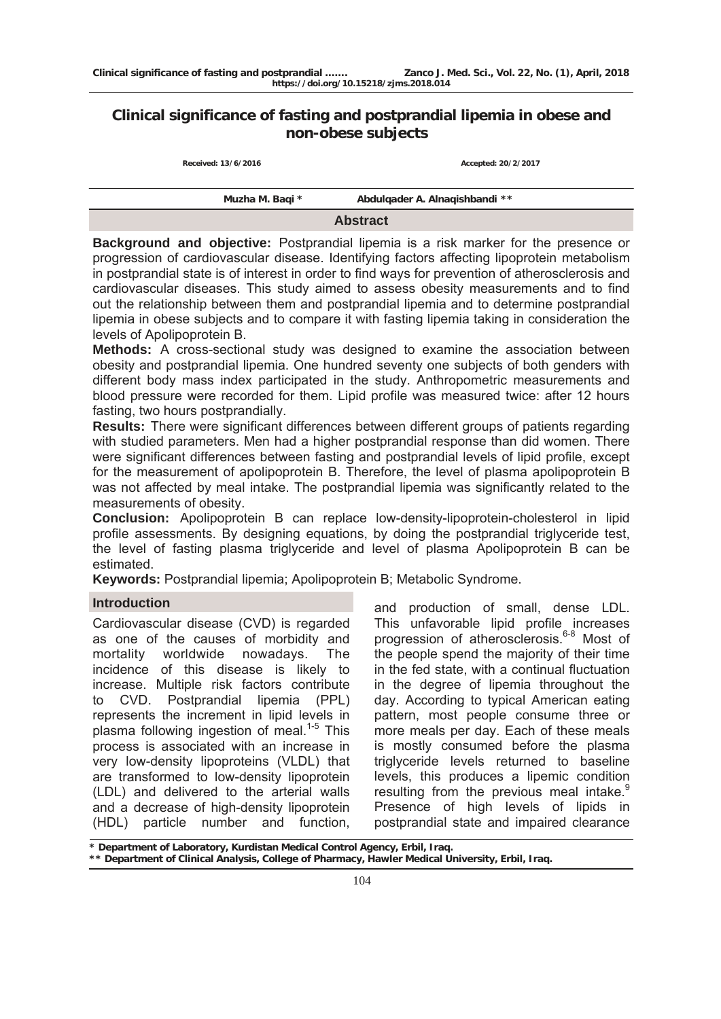# **Clinical significance of fasting and postprandial lipemia in obese and non-obese subjects**

| Received: 13/6/2016 | Accepted: 20/2/2017            |  |  |  |
|---------------------|--------------------------------|--|--|--|
|                     |                                |  |  |  |
| Muzha M. Bagi *     | Abdulgader A. Alnagishbandi ** |  |  |  |
| $A = 1$             |                                |  |  |  |

**Abstract** 

**Background and objective:** Postprandial lipemia is a risk marker for the presence or progression of cardiovascular disease. Identifying factors affecting lipoprotein metabolism in postprandial state is of interest in order to find ways for prevention of atherosclerosis and cardiovascular diseases. This study aimed to assess obesity measurements and to find out the relationship between them and postprandial lipemia and to determine postprandial lipemia in obese subjects and to compare it with fasting lipemia taking in consideration the levels of Apolipoprotein B.

**Methods:** A cross-sectional study was designed to examine the association between obesity and postprandial lipemia. One hundred seventy one subjects of both genders with different body mass index participated in the study. Anthropometric measurements and blood pressure were recorded for them. Lipid profile was measured twice: after 12 hours fasting, two hours postprandially.

**Results:** There were significant differences between different groups of patients regarding with studied parameters. Men had a higher postprandial response than did women. There were significant differences between fasting and postprandial levels of lipid profile, except for the measurement of apolipoprotein B. Therefore, the level of plasma apolipoprotein B was not affected by meal intake. The postprandial lipemia was significantly related to the measurements of obesity.

**Conclusion:** Apolipoprotein B can replace low-density-lipoprotein-cholesterol in lipid profile assessments. By designing equations, by doing the postprandial triglyceride test, the level of fasting plasma triglyceride and level of plasma Apolipoprotein B can be estimated.

**Keywords:** Postprandial lipemia; Apolipoprotein B; Metabolic Syndrome.

# **Introduction**

Cardiovascular disease (CVD) is regarded as one of the causes of morbidity and mortality worldwide nowadays. The incidence of this disease is likely to increase. Multiple risk factors contribute to CVD. Postprandial lipemia (PPL) represents the increment in lipid levels in plasma following ingestion of meal. $1-5$  This process is associated with an increase in very low-density lipoproteins (VLDL) that are transformed to low-density lipoprotein (LDL) and delivered to the arterial walls and a decrease of high-density lipoprotein (HDL) particle number and function,

and production of small, dense LDL. This unfavorable lipid profile increases progression of atherosclerosis.<sup>6-8</sup> Most of the people spend the majority of their time in the fed state, with a continual fluctuation in the degree of lipemia throughout the day. According to typical American eating pattern, most people consume three or more meals per day. Each of these meals is mostly consumed before the plasma triglyceride levels returned to baseline levels, this produces a lipemic condition resulting from the previous meal intake.<sup>9</sup> Presence of high levels of lipids in postprandial state and impaired clearance

**\* Department of Laboratory, Kurdistan Medical Control Agency, Erbil, Iraq. \*\* Department of Clinical Analysis, College of Pharmacy, Hawler Medical University, Erbil, Iraq.**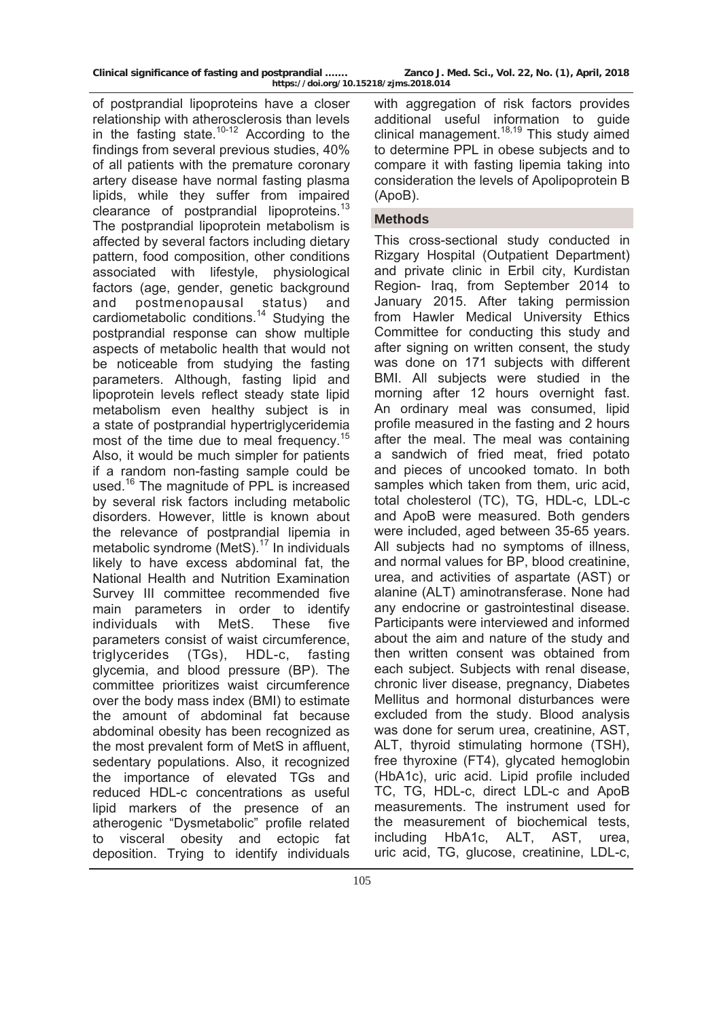|  |  | Clinical significance of fasting and postprandial |  |
|--|--|---------------------------------------------------|--|
|  |  |                                                   |  |

of postprandial lipoproteins have a closer relationship with atherosclerosis than levels in the fasting state. $10-12$  According to the findings from several previous studies, 40% of all patients with the premature coronary artery disease have normal fasting plasma lipids, while they suffer from impaired clearance of postprandial lipoproteins.<sup>13</sup> The postprandial lipoprotein metabolism is affected by several factors including dietary pattern, food composition, other conditions associated with lifestyle, physiological factors (age, gender, genetic background and postmenopausal status) and cardiometabolic conditions.<sup>14</sup> Studying the postprandial response can show multiple aspects of metabolic health that would not be noticeable from studying the fasting parameters. Although, fasting lipid and lipoprotein levels reflect steady state lipid metabolism even healthy subject is in a state of postprandial hypertriglyceridemia most of the time due to meal frequency.<sup>15</sup> Also, it would be much simpler for patients if a random non-fasting sample could be used.<sup>16</sup> The magnitude of PPL is increased by several risk factors including metabolic disorders. However, little is known about the relevance of postprandial lipemia in metabolic syndrome (MetS). $17$  In individuals likely to have excess abdominal fat, the National Health and Nutrition Examination Survey III committee recommended five main parameters in order to identify individuals with MetS. These five parameters consist of waist circumference, triglycerides (TGs), HDL-c, fasting glycemia, and blood pressure (BP). The committee prioritizes waist circumference over the body mass index (BMI) to estimate the amount of abdominal fat because abdominal obesity has been recognized as the most prevalent form of MetS in affluent, sedentary populations. Also, it recognized the importance of elevated TGs and reduced HDL-c concentrations as useful lipid markers of the presence of an atherogenic "Dysmetabolic" profile related to visceral obesity and ectopic fat deposition. Trying to identify individuals

with aggregation of risk factors provides additional useful information to guide clinical management.<sup>18,19</sup> This study aimed to determine PPL in obese subjects and to compare it with fasting lipemia taking into consideration the levels of Apolipoprotein B (ApoB).

### **Methods**

This cross-sectional study conducted in Rizgary Hospital (Outpatient Department) and private clinic in Erbil city, Kurdistan Region- Iraq, from September 2014 to January 2015. After taking permission from Hawler Medical University Ethics Committee for conducting this study and after signing on written consent, the study was done on 171 subjects with different BMI. All subjects were studied in the morning after 12 hours overnight fast. An ordinary meal was consumed, lipid profile measured in the fasting and 2 hours after the meal. The meal was containing a sandwich of fried meat, fried potato and pieces of uncooked tomato. In both samples which taken from them, uric acid, total cholesterol (TC), TG, HDL-c, LDL-c and ApoB were measured. Both genders were included, aged between 35-65 years. All subjects had no symptoms of illness, and normal values for BP, blood creatinine, urea, and activities of aspartate (AST) or alanine (ALT) aminotransferase. None had any endocrine or gastrointestinal disease. Participants were interviewed and informed about the aim and nature of the study and then written consent was obtained from each subject. Subjects with renal disease, chronic liver disease, pregnancy, Diabetes Mellitus and hormonal disturbances were excluded from the study. Blood analysis was done for serum urea, creatinine, AST, ALT, thyroid stimulating hormone (TSH), free thyroxine (FT4), glycated hemoglobin (HbA1c), uric acid. Lipid profile included TC, TG, HDL-c, direct LDL-c and ApoB measurements. The instrument used for the measurement of biochemical tests, including HbA1c, ALT, AST, urea, uric acid, TG, glucose, creatinine, LDL-c,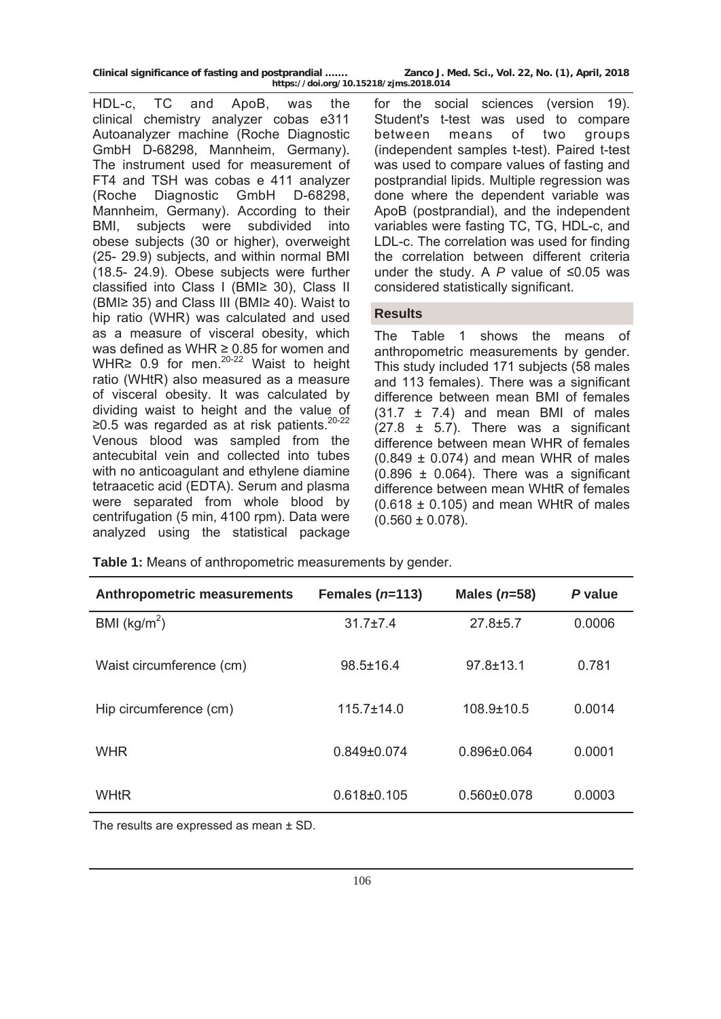| Clinical significance of fasting and postprandial |  | 1.1111.1100 |
|---------------------------------------------------|--|-------------|
|                                                   |  |             |

HDL-c, TC and ApoB, was the clinical chemistry analyzer cobas e311 Autoanalyzer machine (Roche Diagnostic GmbH D-68298, Mannheim, Germany). The instrument used for measurement of FT4 and TSH was cobas e 411 analyzer (Roche Diagnostic GmbH D-68298, Mannheim, Germany). According to their BMI, subjects were subdivided into obese subjects (30 or higher), overweight (25- 29.9) subjects, and within normal BMI (18.5- 24.9). Obese subjects were further classified into Class I (BMI≥ 30), Class II (BMI≥ 35) and Class III (BMI≥ 40). Waist to hip ratio (WHR) was calculated and used as a measure of visceral obesity, which was defined as WHR ≥ 0.85 for women and WHR≥ 0.9 for men.<sup>20-22</sup> Waist to height ratio (WHtR) also measured as a measure of visceral obesity. It was calculated by dividing waist to height and the value of ≥0.5 was regarded as at risk patients.20-22 Venous blood was sampled from the antecubital vein and collected into tubes with no anticoagulant and ethylene diamine tetraacetic acid (EDTA). Serum and plasma were separated from whole blood by centrifugation (5 min, 4100 rpm). Data were analyzed using the statistical package

for the social sciences (version 19). Student's t-test was used to compare between means of two groups (independent samples t-test). Paired t-test was used to compare values of fasting and postprandial lipids. Multiple regression was done where the dependent variable was ApoB (postprandial), and the independent variables were fasting TC, TG, HDL-c, and LDL-c. The correlation was used for finding the correlation between different criteria under the study. A *P* value of ≤0.05 was considered statistically significant.

# **Results**

The Table 1 shows the means of anthropometric measurements by gender. This study included 171 subjects (58 males and 113 females). There was a significant difference between mean BMI of females  $(31.7 \pm 7.4)$  and mean BMI of males  $(27.8 \pm 5.7)$ . There was a significant difference between mean WHR of females  $(0.849 \pm 0.074)$  and mean WHR of males  $(0.896 \pm 0.064)$ . There was a significant difference between mean WHtR of females  $(0.618 \pm 0.105)$  and mean WHtR of males  $(0.560 \pm 0.078)$ .

**Table 1:** Means of anthropometric measurements by gender.

| <b>Anthropometric measurements</b> | Females $(n=113)$ | Males $(n=58)$    | P value |
|------------------------------------|-------------------|-------------------|---------|
| BMI ( $\text{kg/m}^2$ )            | $31.7 \pm 7.4$    | $27.8 \pm 5.7$    | 0.0006  |
| Waist circumference (cm)           | $98.5 \pm 16.4$   | $97.8 \pm 13.1$   | 0.781   |
| Hip circumference (cm)             | $115.7 \pm 14.0$  | $108.9 \pm 10.5$  | 0.0014  |
| <b>WHR</b>                         | $0.849 + 0.074$   | $0.896\pm0.064$   | 0.0001  |
| <b>WHtR</b>                        | $0.618 \pm 0.105$ | $0.560 \pm 0.078$ | 0.0003  |

The results are expressed as mean ± SD.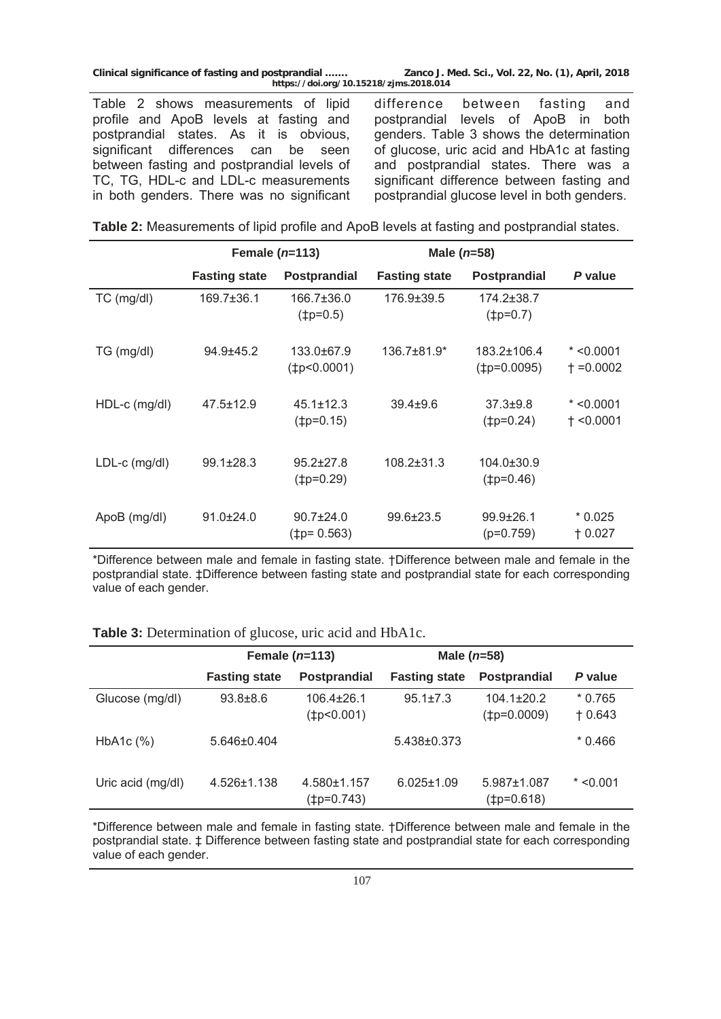Table 2 shows measurements of lipid profile and ApoB levels at fasting and postprandial states. As it is obvious, significant differences can be seen between fasting and postprandial levels of TC, TG, HDL-c and LDL-c measurements in both genders. There was no significant difference between fasting and postprandial levels of ApoB in both genders. Table 3 shows the determination of glucose, uric acid and HbA1c at fasting and postprandial states. There was a significant difference between fasting and postprandial glucose level in both genders.

|                 |                      | Female $(n=113)$                            | Male $(n=58)$        |                                 |                                  |
|-----------------|----------------------|---------------------------------------------|----------------------|---------------------------------|----------------------------------|
|                 | <b>Fasting state</b> | <b>Postprandial</b>                         | <b>Fasting state</b> | Postprandial                    | P value                          |
| TC (mg/dl)      | $169.7 \pm 36.1$     | 166.7±36.0<br>$(\pm p=0.5)$                 | 176.9±39.5           | 174.2±38.7<br>$(\pm p=0.7)$     |                                  |
| TG (mg/dl)      | $94.9 + 45.2$        | 133.0±67.9<br>$(\text{\texttt{tp<0.0001}})$ | $136.7\pm81.9*$      | 183.2±106.4<br>$(\pm p=0.0095)$ | $*$ <0.0001<br>$\dagger$ =0.0002 |
| $HDL-c$ (mg/dl) | $47.5 \pm 12.9$      | $45.1 \pm 12.3$<br>$(\pm p=0.15)$           | $39.4 + 9.6$         | $37.3 \pm 9.8$<br>(‡p=0.24)     | $* < 0.0001$<br>$+$ <0.0001      |
| $LDL-c$ (mg/dl) | $99.1 \pm 28.3$      | $95.2 \pm 27.8$<br>$(\pm p=0.29)$           | 108.2±31.3           | 104.0±30.9<br>$(\pm p=0.46)$    |                                  |
| ApoB (mg/dl)    | $91.0 \pm 24.0$      | $90.7 \pm 24.0$<br>$(1p=0.563)$             | $99.6 \pm 23.5$      | $99.9 \pm 26.1$<br>$(p=0.759)$  | $*0.025$<br>$+0.027$             |

\*Difference between male and female in fasting state. †Difference between male and female in the postprandial state. ‡Difference between fasting state and postprandial state for each corresponding value of each gender.

**Table 3:** Determination of glucose, uric acid and HbA1c.

|                           | Female $(n=113)$     |                                      | Male $(n=58)$        |                                      |                      |
|---------------------------|----------------------|--------------------------------------|----------------------|--------------------------------------|----------------------|
|                           | <b>Fasting state</b> | <b>Postprandial</b>                  | <b>Fasting state</b> | <b>Postprandial</b>                  | P value              |
| Glucose (mg/dl)           | $93.8 \pm 8.6$       | $106.4 \pm 26.1$<br>$(\pm p<0.001)$  | $95.1 \pm 7.3$       | $104.1 \pm 20.2$<br>$(\pm p=0.0009)$ | $*0.765$<br>$+0.643$ |
| HbA <sub>1</sub> c $(\%)$ | 5.646±0.404          |                                      | 5.438±0.373          |                                      | $*0.466$             |
| Uric acid (mg/dl)         | 4.526±1.138          | $4.580 \pm 1.157$<br>$(\pm p=0.743)$ | $6.025 \pm 1.09$     | $5.987 \pm 1.087$<br>$(\pm p=0.618)$ | $*$ <0.001           |

\*Difference between male and female in fasting state. †Difference between male and female in the postprandial state. ‡ Difference between fasting state and postprandial state for each corresponding value of each gender.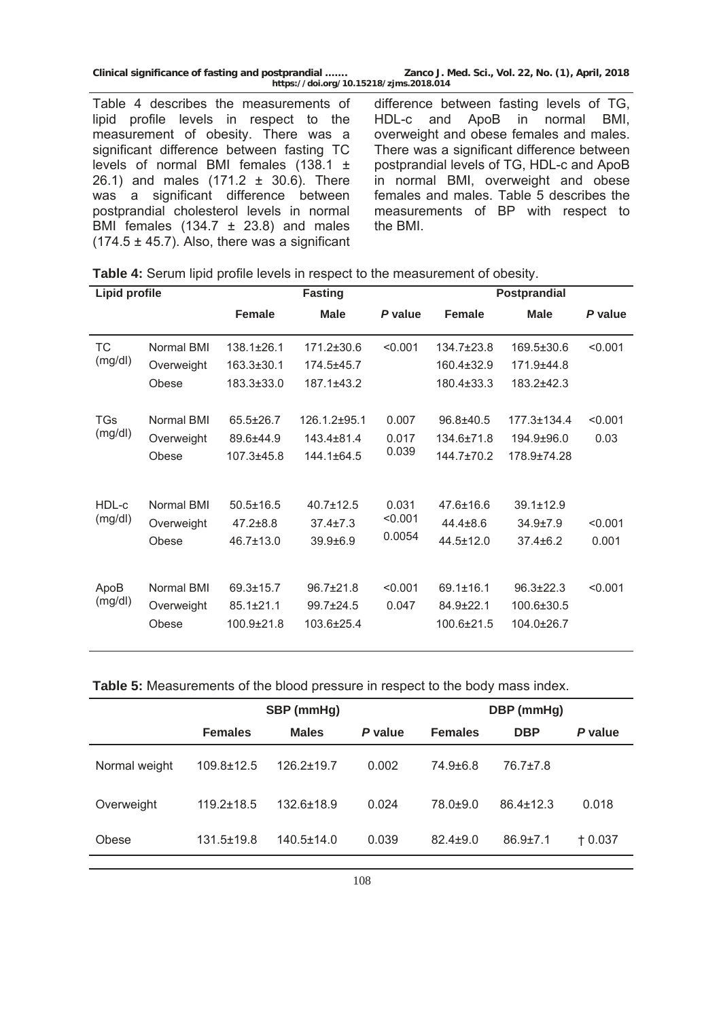|  |  | Clinical significance of fasting and postprandial |  |
|--|--|---------------------------------------------------|--|
|  |  | http://doi.org/10                                 |  |

Table 4 describes the measurements of lipid profile levels in respect to the measurement of obesity. There was a significant difference between fasting TC levels of normal BMI females (138.1 ± 26.1) and males (171.2 ± 30.6). There was a significant difference between postprandial cholesterol levels in normal BMI females  $(134.7 \pm 23.8)$  and males  $(174.5 \pm 45.7)$ . Also, there was a significant

difference between fasting levels of TG, HDL-c and ApoB in normal BMI, overweight and obese females and males. There was a significant difference between postprandial levels of TG, HDL-c and ApoB in normal BMI, overweight and obese females and males. Table 5 describes the measurements of BP with respect to the BMI.

| Table 4: Serum lipid profile levels in respect to the measurement of obesity. |  |  |  |  |  |
|-------------------------------------------------------------------------------|--|--|--|--|--|
|-------------------------------------------------------------------------------|--|--|--|--|--|

| <b>Lipid profile</b>  |                                   | <b>Fasting</b><br><b>Postprandial</b>            |                                                  |                         |                                                  |                                                   |                 |
|-----------------------|-----------------------------------|--------------------------------------------------|--------------------------------------------------|-------------------------|--------------------------------------------------|---------------------------------------------------|-----------------|
|                       |                                   | <b>Female</b>                                    | <b>Male</b>                                      | P value                 | <b>Female</b>                                    | <b>Male</b>                                       | P value         |
| <b>TC</b>             | Normal BMI                        | $138.1 \pm 26.1$                                 | 171.2±30.6                                       | < 0.001                 | $134.7\pm23.8$                                   | $169.5 \pm 30.6$                                  | < 0.001         |
| (mg/dl)               | Overweight                        | $163.3 \pm 30.1$                                 | 174.5±45.7                                       |                         | 160.4±32.9                                       | 171.9±44.8                                        |                 |
|                       | Obese                             | 183.3±33.0                                       | $187.1 + 43.2$                                   |                         | 180.4±33.3                                       | 183.2±42.3                                        |                 |
| <b>TGs</b><br>(mg/dl) | Normal BMI<br>Overweight<br>Obese | $65.5 \pm 26.7$<br>89.6±44.9<br>$107.3 + 45.8$   | 126.1.2±95.1<br>$143.4 \pm 81.4$<br>144.1±64.5   | 0.007<br>0.017<br>0.039 | 96.8±40.5<br>134.6±71.8<br>144.7±70.2            | 177.3+134.4<br>194.9±96.0<br>178.9±74.28          | < 0.001<br>0.03 |
| HDL-c                 | Normal BMI                        | $50.5 \pm 16.5$                                  | $40.7 + 12.5$                                    | 0.031                   | $47.6 + 16.6$                                    | $39.1 \pm 12.9$                                   |                 |
| (mg/dl)               | Overweight                        | $47.2 \pm 8.8$                                   | $37.4 \pm 7.3$                                   | < 0.001                 | $44.4 \pm 8.6$                                   | $34.9{\pm}7.9$                                    | < 0.001         |
|                       | Obese                             | $46.7 \pm 13.0$                                  | $39.9 + 6.9$                                     | 0.0054                  | 44.5±12.0                                        | $37.4 \pm 6.2$                                    | 0.001           |
| ApoB<br>(mg/dl)       | Normal BMI<br>Overweight<br>Obese | $69.3 \pm 15.7$<br>$85.1 \pm 21.1$<br>100.9±21.8 | $96.7 \pm 21.8$<br>$99.7 \pm 24.5$<br>103.6±25.4 | < 0.001<br>0.047        | $69.1 \pm 16.1$<br>$84.9 \pm 22.1$<br>100.6±21.5 | $96.3 \pm 22.3$<br>100.6±30.5<br>$104.0 \pm 26.7$ | < 0.001         |

| <b>Table 5:</b> Measurements of the blood pressure in respect to the body mass index. |  |  |  |
|---------------------------------------------------------------------------------------|--|--|--|
|---------------------------------------------------------------------------------------|--|--|--|

|               | SBP (mmHg)       |                  |         | DBP (mmHg)     |                 |          |  |
|---------------|------------------|------------------|---------|----------------|-----------------|----------|--|
|               | <b>Females</b>   | <b>Males</b>     | P value | <b>Females</b> | <b>DBP</b>      | P value  |  |
| Normal weight | $109.8 \pm 12.5$ | $126.2 \pm 19.7$ | 0.002   | 74.9±6.8       | $76.7{\pm}7.8$  |          |  |
| Overweight    | $119.2 \pm 18.5$ | $132.6 \pm 18.9$ | 0.024   | 78.0±9.0       | $86.4 \pm 12.3$ | 0.018    |  |
| Obese         | $131.5 \pm 19.8$ | $140.5 \pm 14.0$ | 0.039   | $82.4 \pm 9.0$ | $86.9{\pm}7.1$  | $+0.037$ |  |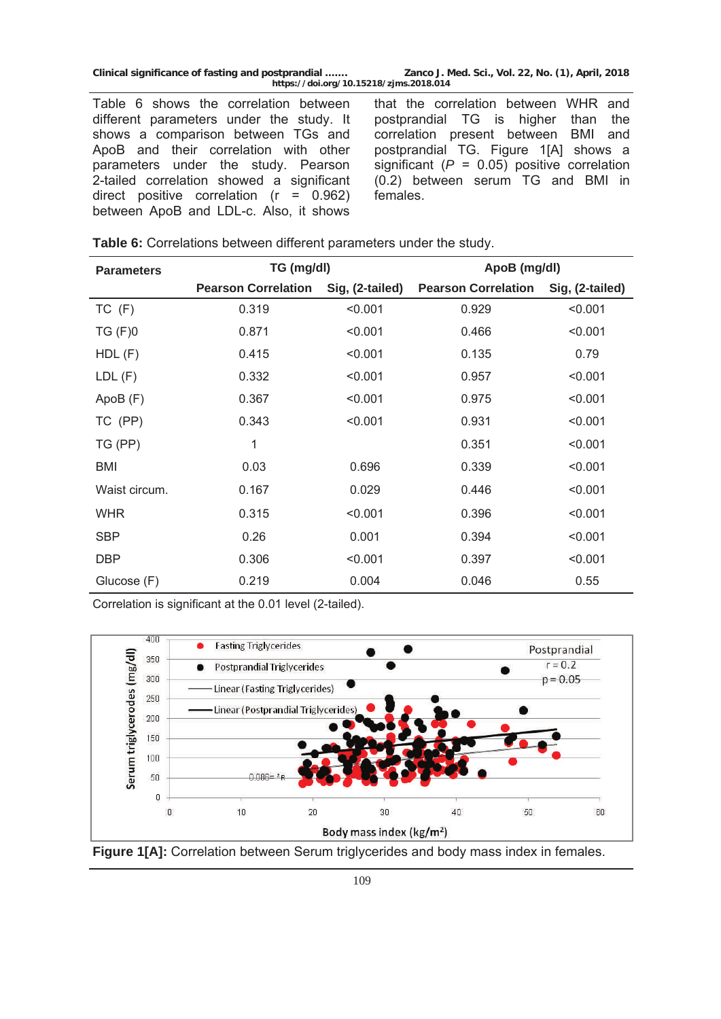Table 6 shows the correlation between different parameters under the study. It shows a comparison between TGs and ApoB and their correlation with other parameters under the study. Pearson 2-tailed correlation showed a significant direct positive correlation  $(r = 0.962)$ between ApoB and LDL-c. Also, it shows

that the correlation between WHR and postprandial TG is higher than the correlation present between BMI and postprandial TG. Figure 1[A] shows a significant  $(P = 0.05)$  positive correlation (0.2) between serum TG and BMI in females.

| Table 6: Correlations between different parameters under the study. |  |
|---------------------------------------------------------------------|--|
|                                                                     |  |

| <b>Parameters</b> | TG (mg/dl)                 |                 | ApoB (mg/dl)               |                 |  |
|-------------------|----------------------------|-----------------|----------------------------|-----------------|--|
|                   | <b>Pearson Correlation</b> | Sig, (2-tailed) | <b>Pearson Correlation</b> | Sig, (2-tailed) |  |
| $TC$ $(F)$        | 0.319                      | < 0.001         | 0.929                      | < 0.001         |  |
| $TG$ $(F)0$       | 0.871                      | < 0.001         | 0.466                      | < 0.001         |  |
| $HDL$ (F)         | 0.415                      | < 0.001         | 0.135                      | 0.79            |  |
| LDL(F)            | 0.332                      | < 0.001         | 0.957                      | < 0.001         |  |
| ApoB(F)           | 0.367                      | < 0.001         | 0.975                      | < 0.001         |  |
| TC (PP)           | 0.343                      | < 0.001         | 0.931                      | < 0.001         |  |
| TG (PP)           | 1                          |                 | 0.351                      | < 0.001         |  |
| <b>BMI</b>        | 0.03                       | 0.696           | 0.339                      | < 0.001         |  |
| Waist circum.     | 0.167                      | 0.029           | 0.446                      | < 0.001         |  |
| <b>WHR</b>        | 0.315                      | < 0.001         | 0.396                      | < 0.001         |  |
| <b>SBP</b>        | 0.26                       | 0.001           | 0.394                      | < 0.001         |  |
| <b>DBP</b>        | 0.306                      | < 0.001         | 0.397                      | < 0.001         |  |
| Glucose (F)       | 0.219                      | 0.004           | 0.046                      | 0.55            |  |

Correlation is significant at the 0.01 level (2-tailed).





6 109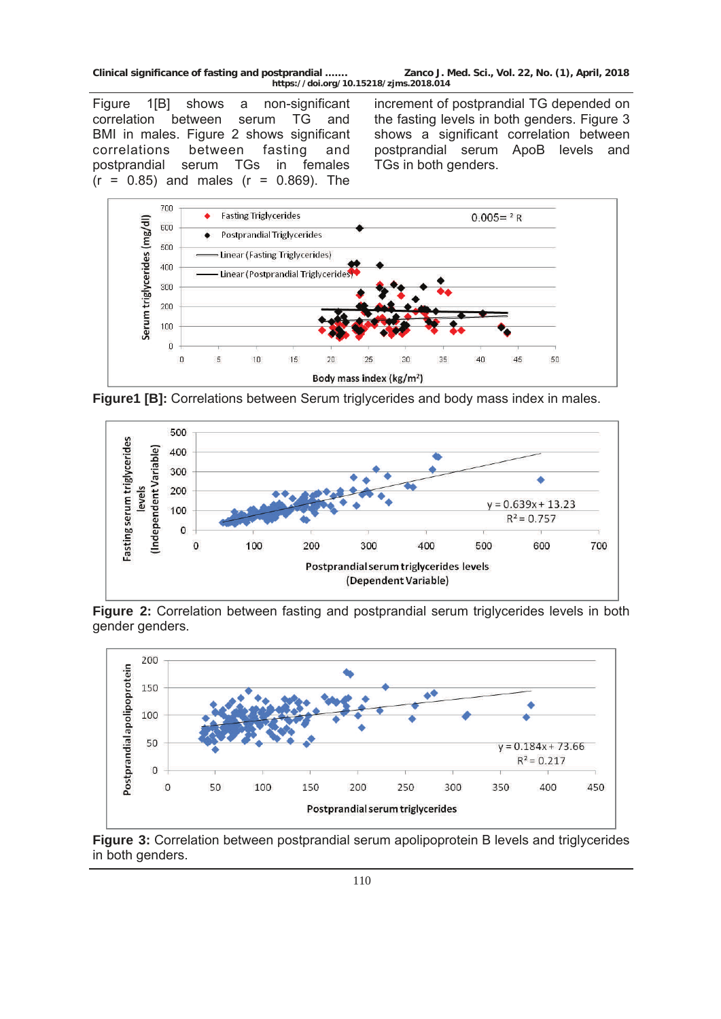Figure 1[B] shows a non-significant correlation between serum TG and BMI in males. Figure 2 shows significant correlations between fasting and postprandial serum TGs in females  $(r = 0.85)$  and males  $(r = 0.869)$ . The

increment of postprandial TG depended on the fasting levels in both genders. Figure 3 shows a significant correlation between postprandial serum ApoB levels and TGs in both genders.



**Figure1 [B]:** Correlations between Serum triglycerides and body mass index in males.



**Figure 2:** Correlation between fasting and postprandial serum triglycerides levels in both gender genders.



**Figure 3:** Correlation between postprandial serum apolipoprotein B levels and triglycerides in both genders.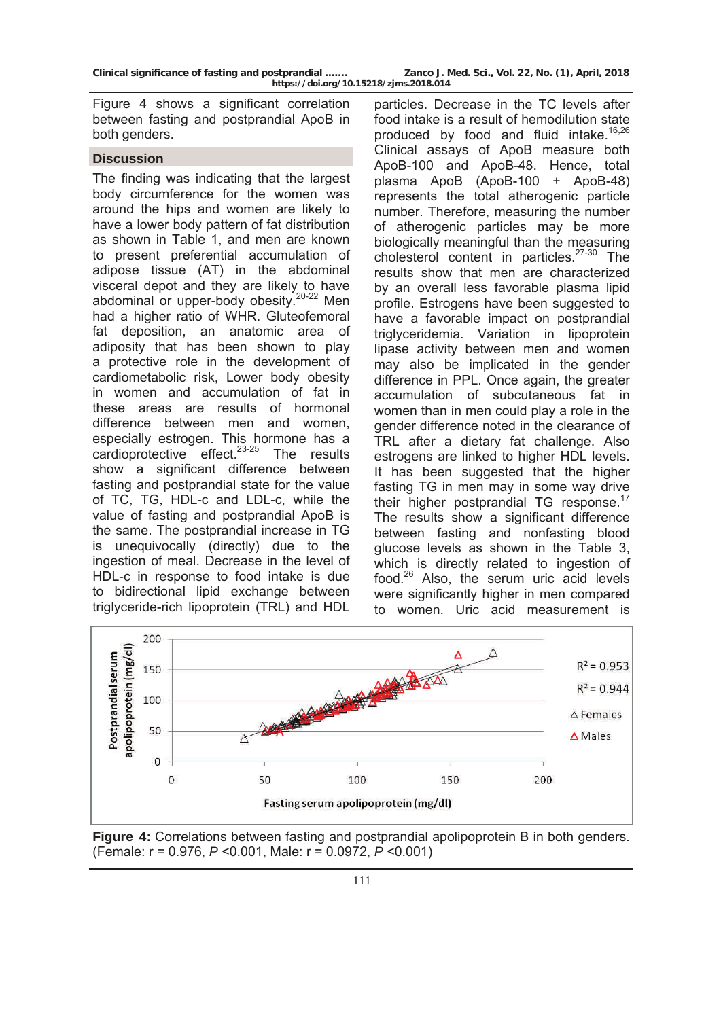Figure 4 shows a significant correlation between fasting and postprandial ApoB in both genders.

#### **Discussion**

The finding was indicating that the largest body circumference for the women was around the hips and women are likely to have a lower body pattern of fat distribution as shown in Table 1, and men are known to present preferential accumulation of adipose tissue (AT) in the abdominal visceral depot and they are likely to have abdominal or upper-body obesity.20-22 Men had a higher ratio of WHR. Gluteofemoral fat deposition, an anatomic area of adiposity that has been shown to play a protective role in the development of cardiometabolic risk, Lower body obesity in women and accumulation of fat in these areas are results of hormonal difference between men and women, especially estrogen. This hormone has a cardioprotective effect. $23-25$  The results show a significant difference between fasting and postprandial state for the value of TC, TG, HDL-c and LDL-c, while the value of fasting and postprandial ApoB is the same. The postprandial increase in TG is unequivocally (directly) due to the ingestion of meal. Decrease in the level of HDL-c in response to food intake is due to bidirectional lipid exchange between triglyceride-rich lipoprotein (TRL) and HDL

particles. Decrease in the TC levels after food intake is a result of hemodilution state produced by food and fluid intake. $16,26$ Clinical assays of ApoB measure both ApoB-100 and ApoB-48. Hence, total plasma ApoB (ApoB-100 + ApoB-48) represents the total atherogenic particle number. Therefore, measuring the number of atherogenic particles may be more biologically meaningful than the measuring cholesterol content in particles.<sup>27-30</sup> The results show that men are characterized by an overall less favorable plasma lipid profile. Estrogens have been suggested to have a favorable impact on postprandial triglyceridemia. Variation in lipoprotein lipase activity between men and women may also be implicated in the gender difference in PPL. Once again, the greater accumulation of subcutaneous fat in women than in men could play a role in the gender difference noted in the clearance of TRL after a dietary fat challenge. Also estrogens are linked to higher HDL levels. It has been suggested that the higher fasting TG in men may in some way drive their higher postprandial TG response.<sup>17</sup> The results show a significant difference between fasting and nonfasting blood glucose levels as shown in the Table 3, which is directly related to ingestion of food.26 Also, the serum uric acid levels were significantly higher in men compared to women. Uric acid measurement is



**Figure 4:** Correlations between fasting and postprandial apolipoprotein B in both genders. (Female: r = 0.976, *P* <0.001, Male: r = 0.0972, *P* <0.001)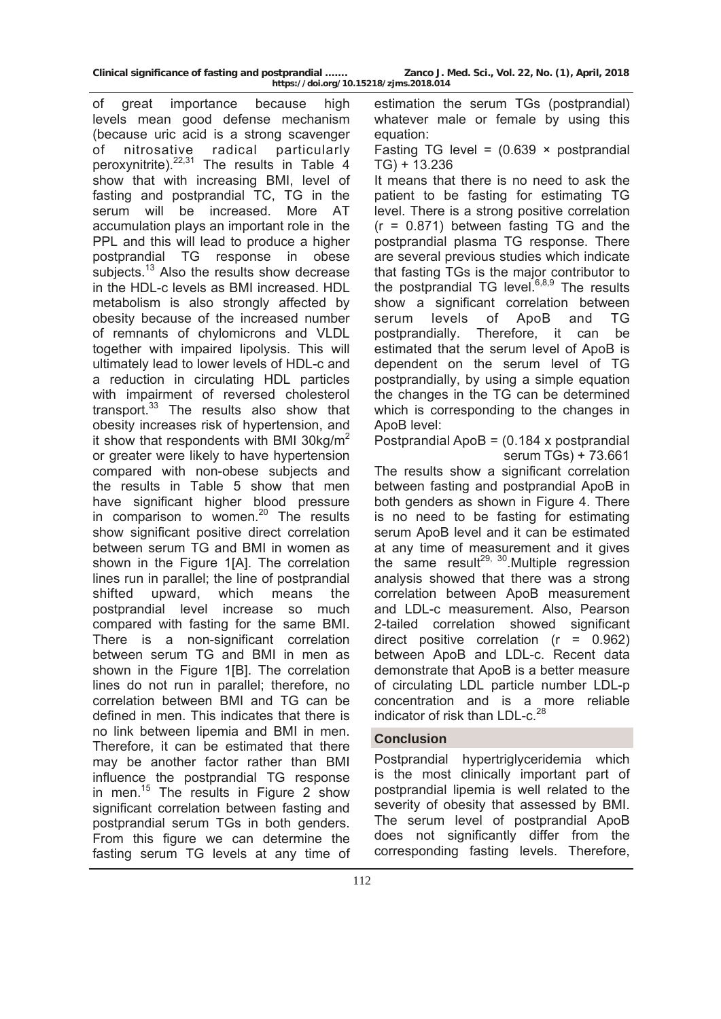of great importance because high levels mean good defense mechanism (because uric acid is a strong scavenger of nitrosative radical particularly peroxynitrite).<sup>22,31</sup> The results in Table 4 show that with increasing BMI, level of fasting and postprandial TC, TG in the serum will be increased. More AT accumulation plays an important role in the PPL and this will lead to produce a higher postprandial TG response in obese subjects.<sup>13</sup> Also the results show decrease in the HDL-c levels as BMI increased. HDL metabolism is also strongly affected by obesity because of the increased number of remnants of chylomicrons and VLDL together with impaired lipolysis. This will ultimately lead to lower levels of HDL-c and a reduction in circulating HDL particles with impairment of reversed cholesterol transport. $33$  The results also show that obesity increases risk of hypertension, and it show that respondents with BMI 30kg/ $m^2$ or greater were likely to have hypertension compared with non-obese subjects and the results in Table 5 show that men have significant higher blood pressure in comparison to women. $20$  The results show significant positive direct correlation between serum TG and BMI in women as shown in the Figure 1[A]. The correlation lines run in parallel; the line of postprandial shifted upward, which means the postprandial level increase so much compared with fasting for the same BMI. There is a non-significant correlation between serum TG and BMI in men as shown in the Figure 1[B]. The correlation lines do not run in parallel; therefore, no correlation between BMI and TG can be defined in men. This indicates that there is no link between lipemia and BMI in men. Therefore, it can be estimated that there may be another factor rather than BMI influence the postprandial TG response in men.<sup>15</sup> The results in Figure 2 show significant correlation between fasting and postprandial serum TGs in both genders. From this figure we can determine the fasting serum TG levels at any time of

estimation the serum TGs (postprandial) whatever male or female by using this equation:

Fasting TG level =  $(0.639 \times post)$ TG) + 13.236

It means that there is no need to ask the patient to be fasting for estimating TG level. There is a strong positive correlation  $(r = 0.871)$  between fasting TG and the postprandial plasma TG response. There are several previous studies which indicate that fasting TGs is the major contributor to the postprandial TG level.<sup>6,8,9</sup> The results show a significant correlation between serum levels of ApoB and TG postprandially. Therefore, it can be estimated that the serum level of ApoB is dependent on the serum level of TG postprandially, by using a simple equation the changes in the TG can be determined which is corresponding to the changes in ApoB level:

Postprandial ApoB =  $(0.184 \times$  postprandial serum TGs) + 73.661

The results show a significant correlation between fasting and postprandial ApoB in both genders as shown in Figure 4. There is no need to be fasting for estimating serum ApoB level and it can be estimated at any time of measurement and it gives the same result<sup>29, 30</sup>. Multiple regression analysis showed that there was a strong correlation between ApoB measurement and LDL-c measurement. Also, Pearson 2-tailed correlation showed significant direct positive correlation (r = 0.962) between ApoB and LDL-c. Recent data demonstrate that ApoB is a better measure of circulating LDL particle number LDL-p concentration and is a more reliable indicator of risk than LDL-c.<sup>28</sup>

### **Conclusion**

Postprandial hypertriglyceridemia which is the most clinically important part of postprandial lipemia is well related to the severity of obesity that assessed by BMI. The serum level of postprandial ApoB does not significantly differ from the corresponding fasting levels. Therefore,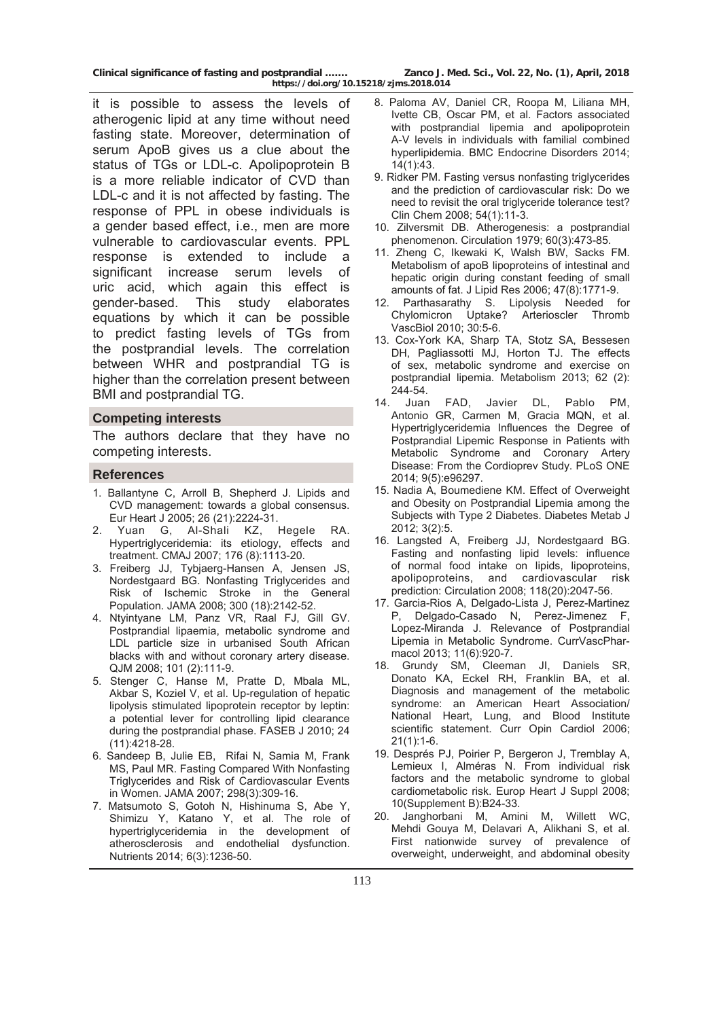**Clinical significance of fasting and postprandial ……. Zanco J. Med. Sci., Vol. 22, No. (1), April, 2018** 

**https://doi.org/10.15218/zjms.2018.014**

it is possible to assess the levels of atherogenic lipid at any time without need fasting state. Moreover, determination of serum ApoB gives us a clue about the status of TGs or LDL-c. Apolipoprotein B is a more reliable indicator of CVD than LDL-c and it is not affected by fasting. The response of PPL in obese individuals is a gender based effect, i.e., men are more vulnerable to cardiovascular events. PPL response is extended to include a significant increase serum levels of uric acid, which again this effect is gender-based. This study elaborates equations by which it can be possible to predict fasting levels of TGs from the postprandial levels. The correlation between WHR and postprandial TG is higher than the correlation present between BMI and postprandial TG.

#### **Competing interests**

The authors declare that they have no competing interests.

### **References**

- 1. Ballantyne C, Arroll B, Shepherd J. Lipids and CVD management: towards a global consensus. Eur Heart J 2005; 26 (21):2224-31.
- 2. Yuan G, Al-Shali KZ, Hegele RA. Hypertriglyceridemia: its etiology, effects and treatment. CMAJ 2007; 176 (8):1113-20.
- 3. Freiberg JJ, Tybjaerg-Hansen A, Jensen JS, Nordestgaard BG. Nonfasting Triglycerides and Risk of Ischemic Stroke in the General Population. JAMA 2008; 300 (18):2142-52.
- 4. Ntyintyane LM, Panz VR, Raal FJ, Gill GV. Postprandial lipaemia, metabolic syndrome and LDL particle size in urbanised South African blacks with and without coronary artery disease. QJM 2008; 101 (2):111-9.
- 5. Stenger C, Hanse M, Pratte D, Mbala ML, Akbar S, Koziel V, et al. Up-regulation of hepatic lipolysis stimulated lipoprotein receptor by leptin: a potential lever for controlling lipid clearance during the postprandial phase. FASEB J 2010; 24 (11):4218-28.
- 6. Sandeep B, Julie EB, Rifai N, Samia M, Frank MS, Paul MR. Fasting Compared With Nonfasting Triglycerides and Risk of Cardiovascular Events in Women. JAMA 2007; 298(3):309-16.
- 7. Matsumoto S, Gotoh N, Hishinuma S, Abe Y, Shimizu Y, Katano Y, et al. The role of hypertriglyceridemia in the development of atherosclerosis and endothelial dysfunction. Nutrients 2014; 6(3):1236-50.
- 8. Paloma AV, Daniel CR, Roopa M, Liliana MH, Ivette CB, Oscar PM, et al. Factors associated with postprandial lipemia and apolipoprotein A-V levels in individuals with familial combined hyperlipidemia. BMC Endocrine Disorders 2014; 14(1):43.
- 9. Ridker PM. Fasting versus nonfasting triglycerides and the prediction of cardiovascular risk: Do we need to revisit the oral triglyceride tolerance test? Clin Chem 2008; 54(1):11-3.
- 10. Zilversmit DB. Atherogenesis: a postprandial phenomenon. Circulation 1979; 60(3):473-85.
- 11. Zheng C, Ikewaki K, Walsh BW, Sacks FM. Metabolism of apoB lipoproteins of intestinal and hepatic origin during constant feeding of small amounts of fat. J Lipid Res 2006; 47(8):1771-9.<br>12. Parthasarathy S. Lipolysis Needed f
- Parthasarathy S. Lipolysis Needed for Chylomicron Uptake? Arterioscler Thromb VascBiol 2010; 30:5-6.
- 13. Cox-York KA, Sharp TA, Stotz SA, Bessesen DH, Pagliassotti MJ, Horton TJ. The effects of sex, metabolic syndrome and exercise on postprandial lipemia. Metabolism 2013; 62 (2): 244-54.
- 14. Juan FAD, Javier DL, Pablo PM, Antonio GR, Carmen M, Gracia MQN, et al. Hypertriglyceridemia Influences the Degree of Postprandial Lipemic Response in Patients with Metabolic Syndrome and Coronary Artery Disease: From the Cordioprev Study. PLoS ONE 2014; 9(5):e96297.
- 15. Nadia A, Boumediene KM. Effect of Overweight and Obesity on Postprandial Lipemia among the Subjects with Type 2 Diabetes. Diabetes Metab J 2012; 3(2):5.
- 16. Langsted A, Freiberg JJ, Nordestgaard BG. Fasting and nonfasting lipid levels: influence of normal food intake on lipids, lipoproteins, apolipoproteins, and cardiovascular risk prediction: Circulation 2008; 118(20):2047-56.
- 17. Garcia-Rios A, Delgado-Lista J, Perez-Martinez P, Delgado-Casado N, Perez-Jimenez F, Lopez-Miranda J. Relevance of Postprandial Lipemia in Metabolic Syndrome. CurrVascPharmacol 2013; 11(6):920-7.
- 18. Grundy SM, Cleeman JI, Daniels SR, Donato KA, Eckel RH, Franklin BA, et al. Diagnosis and management of the metabolic syndrome: an American Heart Association/ National Heart, Lung, and Blood Institute scientific statement. Curr Opin Cardiol 2006; 21(1):1-6.
- 19. Després PJ, Poirier P, Bergeron J, Tremblay A, Lemieux I, Alméras N. From individual risk factors and the metabolic syndrome to global cardiometabolic risk. Europ Heart J Suppl 2008; 10(Supplement B):B24-33.
- 20. Janghorbani M, Amini M, Willett WC, Mehdi Gouya M, Delavari A, Alikhani S, et al. First nationwide survey of prevalence of overweight, underweight, and abdominal obesity